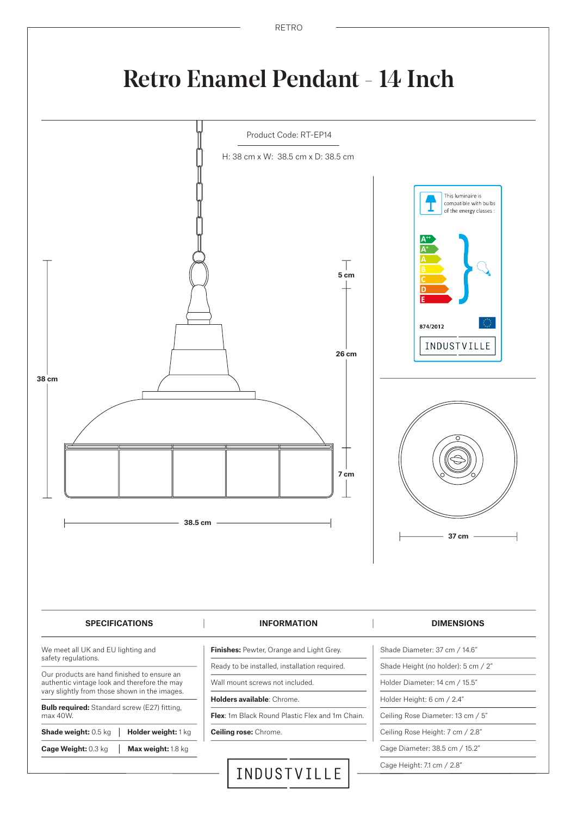

### Retro Enamel Pendant - 14 Inch

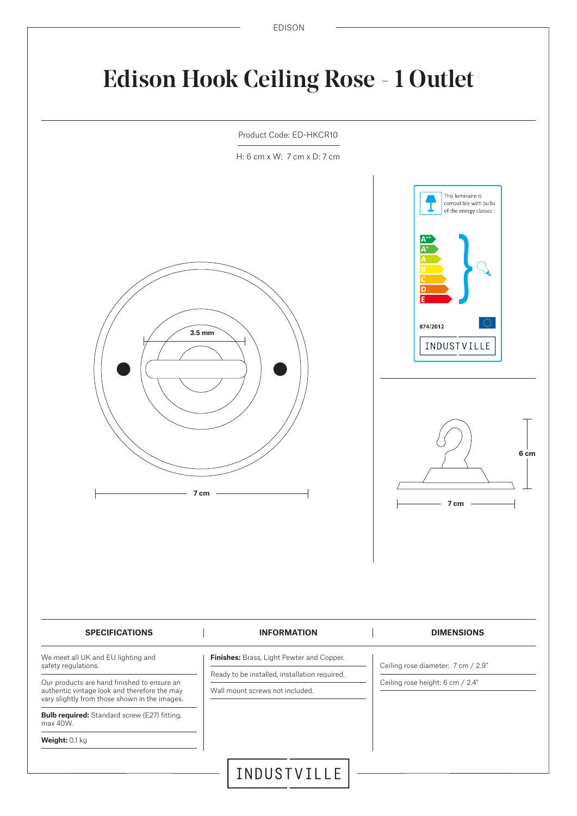# Edison Hook Ceiling Rose - 1 Outlet



H: 6 cm x W: 7 cm x D: 7 cm



**Bulb required:** Standard screw (E27) fitting, max 40W.

vary slightly from those shown in the images.

**Weight:** 0.1 kg

Wall mount screws not included.

**6 cm**

INDUSTVILLE